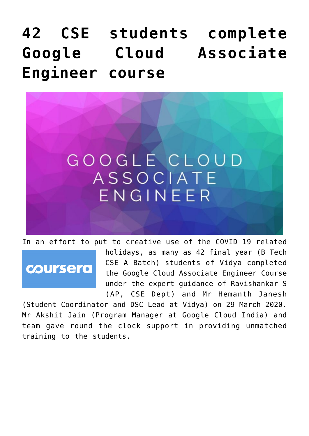## **[42 CSE students complete](https://news.vidyaacademy.ac.in/2020/04/01/42-cse-students-complete-google-cloud-associate-engineer-course/) [Google Cloud Associate](https://news.vidyaacademy.ac.in/2020/04/01/42-cse-students-complete-google-cloud-associate-engineer-course/) [Engineer course](https://news.vidyaacademy.ac.in/2020/04/01/42-cse-students-complete-google-cloud-associate-engineer-course/)**



In an effort to put to creative use of the COVID 19 related

coursera

holidays, as many as 42 final year (B Tech CSE A Batch) students of Vidya completed the Google Cloud Associate Engineer Course under the expert guidance of Ravishankar S (AP, CSE Dept) and Mr Hemanth Janesh

(Student Coordinator and DSC Lead at Vidya) on 29 March 2020. Mr Akshit Jain (Program Manager at Google Cloud India) and team gave round the clock support in providing unmatched training to the students.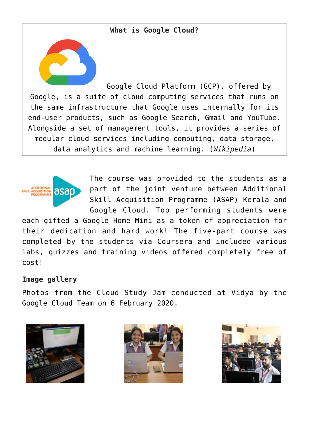## **What is Google Cloud?**

Google Cloud Platform (GCP), offered by Google, is a suite of cloud computing services that runs on the same infrastructure that Google uses internally for its end-user products, such as Google Search, Gmail and YouTube. Alongside a set of management tools, it provides a series of modular cloud services including computing, data storage, data analytics and machine learning. (*Wikipedia*)



The course was provided to the students as a part of the joint venture between Additional Skill Acquisition Programme (ASAP) Kerala and Google Cloud. Top performing students were

each gifted a Google Home Mini as a token of appreciation for their dedication and hard work! The five-part course was completed by the students via Coursera and included various labs, quizzes and training videos offered completely free of cost!

## **Image gallery**

Photos from the Cloud Study Jam conducted at Vidya by the Google Cloud Team on 6 February 2020.